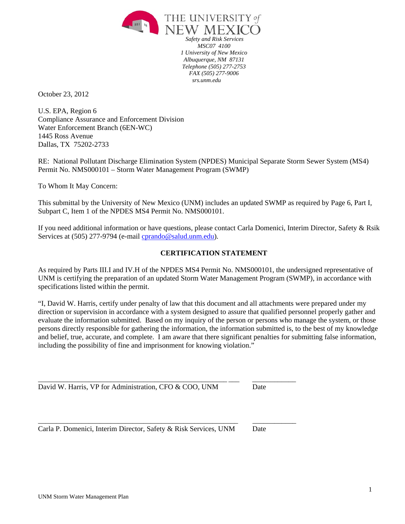

*Safety and Risk Services MSC07 4100 1 University of New Mexico Albuquerque, NM 87131 Telephone (505) 277-2753 FAX (505) 277-9006 srs.unm.edu* 

October 23, 2012

U.S. EPA, Region 6 Compliance Assurance and Enforcement Division Water Enforcement Branch (6EN-WC) 1445 Ross Avenue Dallas, TX 75202-2733

RE: National Pollutant Discharge Elimination System (NPDES) Municipal Separate Storm Sewer System (MS4) Permit No. NMS000101 – Storm Water Management Program (SWMP)

To Whom It May Concern:

This submittal by the University of New Mexico (UNM) includes an updated SWMP as required by Page 6, Part I, Subpart C, Item 1 of the NPDES MS4 Permit No. NMS000101.

If you need additional information or have questions, please contact Carla Domenici, Interim Director, Safety & Rsik Services at (505) 277-9794 (e-mail cprando@salud.unm.edu).

#### **CERTIFICATION STATEMENT**

As required by Parts III.I and IV.H of the NPDES MS4 Permit No. NMS000101, the undersigned representative of UNM is certifying the preparation of an updated Storm Water Management Program (SWMP), in accordance with specifications listed within the permit.

"I, David W. Harris, certify under penalty of law that this document and all attachments were prepared under my direction or supervision in accordance with a system designed to assure that qualified personnel properly gather and evaluate the information submitted. Based on my inquiry of the person or persons who manage the system, or those persons directly responsible for gathering the information, the information submitted is, to the best of my knowledge and belief, true, accurate, and complete. I am aware that there significant penalties for submitting false information, including the possibility of fine and imprisonment for knowing violation."

David W. Harris, VP for Administration, CFO & COO, UNM Date

\_\_\_\_\_\_\_\_\_\_\_\_\_\_\_\_\_\_\_\_\_\_\_\_\_\_\_\_\_\_\_\_\_\_\_\_\_\_\_\_\_\_\_\_\_\_\_\_\_\_\_\_ \_\_\_ \_\_\_\_\_\_\_\_\_\_\_\_

Carla P. Domenici, Interim Director, Safety & Risk Services, UNM Date

\_\_\_\_\_\_\_\_\_\_\_\_\_\_\_\_\_\_\_\_\_\_\_\_\_\_\_\_\_\_\_\_\_\_\_\_\_\_\_\_\_\_\_\_\_\_\_\_\_\_\_\_\_\_\_ \_\_\_\_\_\_\_\_\_\_\_\_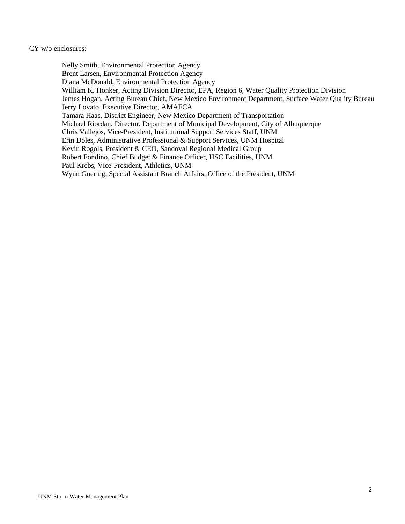#### CY w/o enclosures:

Nelly Smith, Environmental Protection Agency Brent Larsen, Environmental Protection Agency Diana McDonald, Environmental Protection Agency William K. Honker, Acting Division Director, EPA, Region 6, Water Quality Protection Division James Hogan, Acting Bureau Chief, New Mexico Environment Department, Surface Water Quality Bureau Jerry Lovato, Executive Director, AMAFCA Tamara Haas, District Engineer, New Mexico Department of Transportation Michael Riordan, Director, Department of Municipal Development, City of Albuquerque Chris Vallejos, Vice-President, Institutional Support Services Staff, UNM Erin Doles, Administrative Professional & Support Services, UNM Hospital Kevin Rogols, President & CEO, Sandoval Regional Medical Group Robert Fondino, Chief Budget & Finance Officer, HSC Facilities, UNM Paul Krebs, Vice-President, Athletics, UNM Wynn Goering, Special Assistant Branch Affairs, Office of the President, UNM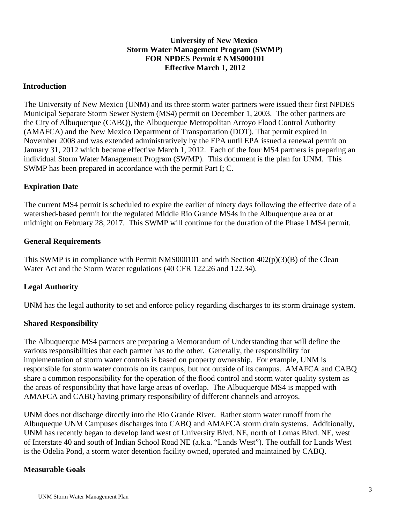### **University of New Mexico Storm Water Management Program (SWMP) FOR NPDES Permit # NMS000101 Effective March 1, 2012**

### **Introduction**

The University of New Mexico (UNM) and its three storm water partners were issued their first NPDES Municipal Separate Storm Sewer System (MS4) permit on December 1, 2003. The other partners are the City of Albuquerque (CABQ), the Albuquerque Metropolitan Arroyo Flood Control Authority (AMAFCA) and the New Mexico Department of Transportation (DOT). That permit expired in November 2008 and was extended administratively by the EPA until EPA issued a renewal permit on January 31, 2012 which became effective March 1, 2012. Each of the four MS4 partners is preparing an individual Storm Water Management Program (SWMP). This document is the plan for UNM. This SWMP has been prepared in accordance with the permit Part I; C.

### **Expiration Date**

The current MS4 permit is scheduled to expire the earlier of ninety days following the effective date of a watershed-based permit for the regulated Middle Rio Grande MS4s in the Albuquerque area or at midnight on February 28, 2017. This SWMP will continue for the duration of the Phase I MS4 permit.

### **General Requirements**

This SWMP is in compliance with Permit NMS000101 and with Section  $402(p)(3)(B)$  of the Clean Water Act and the Storm Water regulations (40 CFR 122.26 and 122.34).

# **Legal Authority**

UNM has the legal authority to set and enforce policy regarding discharges to its storm drainage system.

# **Shared Responsibility**

The Albuquerque MS4 partners are preparing a Memorandum of Understanding that will define the various responsibilities that each partner has to the other. Generally, the responsibility for implementation of storm water controls is based on property ownership. For example, UNM is responsible for storm water controls on its campus, but not outside of its campus. AMAFCA and CABQ share a common responsibility for the operation of the flood control and storm water quality system as the areas of responsibility that have large areas of overlap. The Albuquerque MS4 is mapped with AMAFCA and CABQ having primary responsibility of different channels and arroyos.

UNM does not discharge directly into the Rio Grande River. Rather storm water runoff from the Albuqueque UNM Campuses discharges into CABQ and AMAFCA storm drain systems. Additionally, UNM has recently began to develop land west of University Blvd. NE, north of Lomas Blvd. NE, west of Interstate 40 and south of Indian School Road NE (a.k.a. "Lands West"). The outfall for Lands West is the Odelia Pond, a storm water detention facility owned, operated and maintained by CABQ.

# **Measurable Goals**